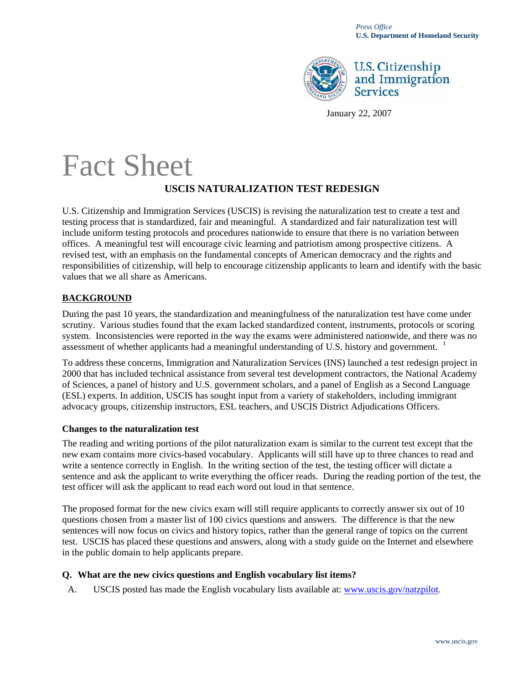

# **U.S. Citizenship** and Immigration **Services**

January 22, 2007

# Fact Sheet **USCIS NATURALIZATION TEST REDESIGN**

U.S. Citizenship and Immigration Services (USCIS) is revising the naturalization test to create a test and testing process that is standardized, fair and meaningful. A standardized and fair naturalization test will include uniform testing protocols and procedures nationwide to ensure that there is no variation between offices. A meaningful test will encourage civic learning and patriotism among prospective citizens. A revised test, with an emphasis on the fundamental concepts of American democracy and the rights and responsibilities of citizenship, will help to encourage citizenship applicants to learn and identify with the basic values that we all share as Americans.

#### **BACKGROUND**

During the past 10 years, the standardization and meaningfulness of the naturalization test have come under scrutiny. Various studies found that the exam lacked standardized content, instruments, protocols or scoring system. Inconsistencies were reported in the way the exams were administered nationwide, and there was no assessment of whether applicants had a meaningful understanding of U.S. history and government. <sup>[1](#page-2-0)</sup>

To address these concerns, Immigration and Naturalization Services (INS) launched a test redesign project in 2000 that has included technical assistance from several test development contractors, the National Academy of Sciences, a panel of history and U.S. government scholars, and a panel of English as a Second Language (ESL) experts. In addition, USCIS has sought input from a variety of stakeholders, including immigrant advocacy groups, citizenship instructors, ESL teachers, and USCIS District Adjudications Officers.

#### **Changes to the naturalization test**

The reading and writing portions of the pilot naturalization exam is similar to the current test except that the new exam contains more civics-based vocabulary. Applicants will still have up to three chances to read and write a sentence correctly in English. In the writing section of the test, the testing officer will dictate a sentence and ask the applicant to write everything the officer reads. During the reading portion of the test, the test officer will ask the applicant to read each word out loud in that sentence.

The proposed format for the new civics exam will still require applicants to correctly answer six out of 10 questions chosen from a master list of 100 civics questions and answers. The difference is that the new sentences will now focus on civics and history topics, rather than the general range of topics on the current test. USCIS has placed these questions and answers, along with a study guide on the Internet and elsewhere in the public domain to help applicants prepare.

#### **Q. What are the new civics questions and English vocabulary list items?**

A. USCIS posted has made the English vocabulary lists available at: [www.uscis.gov/natzpilot.](http://www.uscis.gov/natzpilot)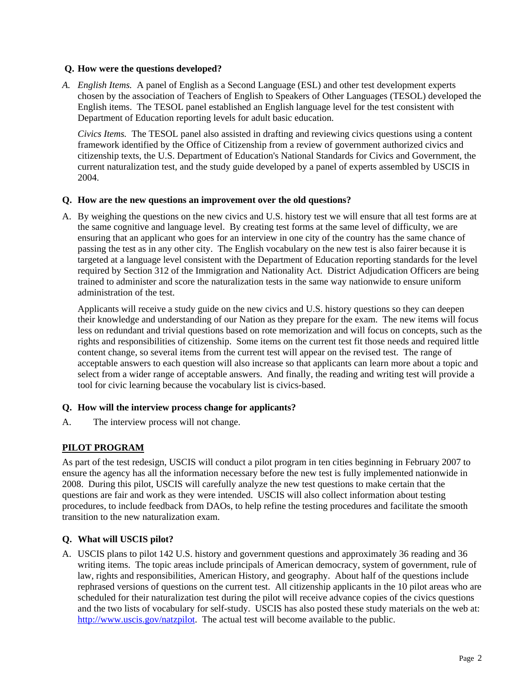#### **Q. How were the questions developed?**

*A. English Items.* A panel of English as a Second Language (ESL) and other test development experts chosen by the association of Teachers of English to Speakers of Other Languages (TESOL) developed the English items. The TESOL panel established an English language level for the test consistent with Department of Education reporting levels for adult basic education.

*Civics Items.* The TESOL panel also assisted in drafting and reviewing civics questions using a content framework identified by the Office of Citizenship from a review of government authorized civics and citizenship texts, the U.S. Department of Education's National Standards for Civics and Government, the current naturalization test, and the study guide developed by a panel of experts assembled by USCIS in 2004.

#### **Q. How are the new questions an improvement over the old questions?**

A. By weighing the questions on the new civics and U.S. history test we will ensure that all test forms are at the same cognitive and language level. By creating test forms at the same level of difficulty, we are ensuring that an applicant who goes for an interview in one city of the country has the same chance of passing the test as in any other city. The English vocabulary on the new test is also fairer because it is targeted at a language level consistent with the Department of Education reporting standards for the level required by Section 312 of the Immigration and Nationality Act. District Adjudication Officers are being trained to administer and score the naturalization tests in the same way nationwide to ensure uniform administration of the test.

 Applicants will receive a study guide on the new civics and U.S. history questions so they can deepen their knowledge and understanding of our Nation as they prepare for the exam. The new items will focus less on redundant and trivial questions based on rote memorization and will focus on concepts, such as the rights and responsibilities of citizenship. Some items on the current test fit those needs and required little content change, so several items from the current test will appear on the revised test. The range of acceptable answers to each question will also increase so that applicants can learn more about a topic and select from a wider range of acceptable answers. And finally, the reading and writing test will provide a tool for civic learning because the vocabulary list is civics-based.

#### **Q. How will the interview process change for applicants?**

A. The interview process will not change.

# **PILOT PROGRAM**

As part of the test redesign, USCIS will conduct a pilot program in ten cities beginning in February 2007 to ensure the agency has all the information necessary before the new test is fully implemented nationwide in 2008. During this pilot, USCIS will carefully analyze the new test questions to make certain that the questions are fair and work as they were intended. USCIS will also collect information about testing procedures, to include feedback from DAOs, to help refine the testing procedures and facilitate the smooth transition to the new naturalization exam.

# **Q. What will USCIS pilot?**

A. USCIS plans to pilot 142 U.S. history and government questions and approximately 36 reading and 36 writing items. The topic areas include principals of American democracy, system of government, rule of law, rights and responsibilities, American History, and geography. About half of the questions include rephrased versions of questions on the current test. All citizenship applicants in the 10 pilot areas who are scheduled for their naturalization test during the pilot will receive advance copies of the civics questions and the two lists of vocabulary for self-study. USCIS has also posted these study materials on the web at: [http://www.uscis.gov/natzpilot.](http://www.uscis.gov/natzpilot) The actual test will become available to the public.